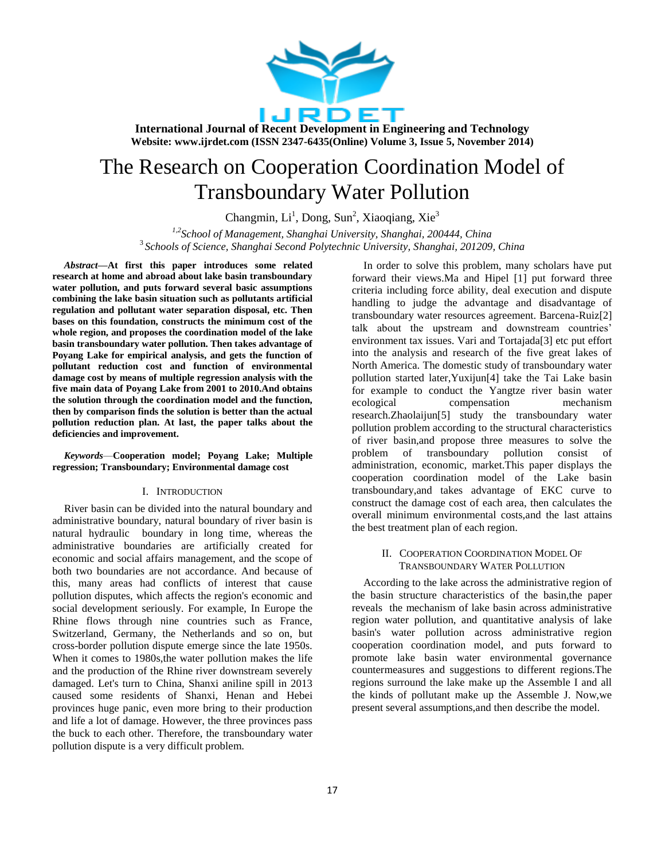

# The Research on Cooperation Coordination Model of Transboundary Water Pollution

Changmin, Li<sup>1</sup>, Dong, Sun<sup>2</sup>, Xiaoqiang, Xie<sup>3</sup>

*1,2School of Management, Shanghai University, Shanghai, 200444, China* 3 *Schools of Science, Shanghai Second Polytechnic University, Shanghai, 201209, China*

*Abstract***—At first this paper introduces some related research at home and abroad about lake basin transboundary water pollution, and puts forward several basic assumptions combining the lake basin situation such as pollutants artificial regulation and pollutant water separation disposal, etc. Then bases on this foundation, constructs the minimum cost of the whole region, and proposes the coordination model of the lake basin transboundary water pollution. Then takes advantage of Poyang Lake for empirical analysis, and gets the function of pollutant reduction cost and function of environmental damage cost by means of multiple regression analysis with the five main data of Poyang Lake from 2001 to 2010.And obtains the solution through the coordination model and the function, then by comparison finds the solution is better than the actual pollution reduction plan. At last, the paper talks about the deficiencies and improvement.**

*Keywords*—**Cooperation model; Poyang Lake; Multiple regression; Transboundary; Environmental damage cost**

#### I. INTRODUCTION

River basin can be divided into the natural boundary and administrative boundary, natural boundary of river basin is natural hydraulic boundary in long time, whereas the administrative boundaries are artificially created for economic and social affairs management, and the scope of both two boundaries are not accordance. And because of this, many areas had conflicts of interest that cause pollution disputes, which affects the region's economic and social development seriously. For example, In Europe the Rhine flows through nine countries such as France, Switzerland, Germany, the Netherlands and so on, but cross-border pollution dispute emerge since the late 1950s. When it comes to 1980s,the water pollution makes the life and the production of the Rhine river downstream severely damaged. Let's turn to China, Shanxi aniline spill in 2013 caused some residents of Shanxi, Henan and Hebei provinces huge panic, even more bring to their production and life a lot of damage. However, the three provinces pass the buck to each other. Therefore, the transboundary water pollution dispute is a very difficult problem.

In order to solve this problem, many scholars have put forward their views.Ma and Hipel [1] put forward three criteria including force ability, deal execution and dispute handling to judge the advantage and disadvantage of transboundary water resources agreement. Barcena-Ruiz[2] talk about the upstream and downstream countries' environment tax issues. Vari and Tortajada[3] etc put effort into the analysis and research of the five great lakes of North America. The domestic study of transboundary water pollution started later,Yuxijun[4] take the Tai Lake basin for example to conduct the Yangtze river basin water ecological compensation mechanism research.Zhaolaijun[5] study the transboundary water pollution problem according to the structural characteristics of river basin,and propose three measures to solve the problem of transboundary pollution consist of administration, economic, market.This paper displays the cooperation coordination model of the Lake basin transboundary,and takes advantage of EKC curve to construct the damage cost of each area, then calculates the overall minimum environmental costs,and the last attains the best treatment plan of each region.

#### II. COOPERATION COORDINATION MODEL OF TRANSBOUNDARY WATER POLLUTION

According to the lake across the administrative region of the basin structure characteristics of the basin,the paper reveals the mechanism of lake basin across administrative region water pollution, and quantitative analysis of lake basin's water pollution across administrative region cooperation coordination model, and puts forward to promote lake basin water environmental governance countermeasures and suggestions to different regions.The regions surround the lake make up the Assemble I and all the kinds of pollutant make up the Assemble J. Now,we present several assumptions,and then describe the model.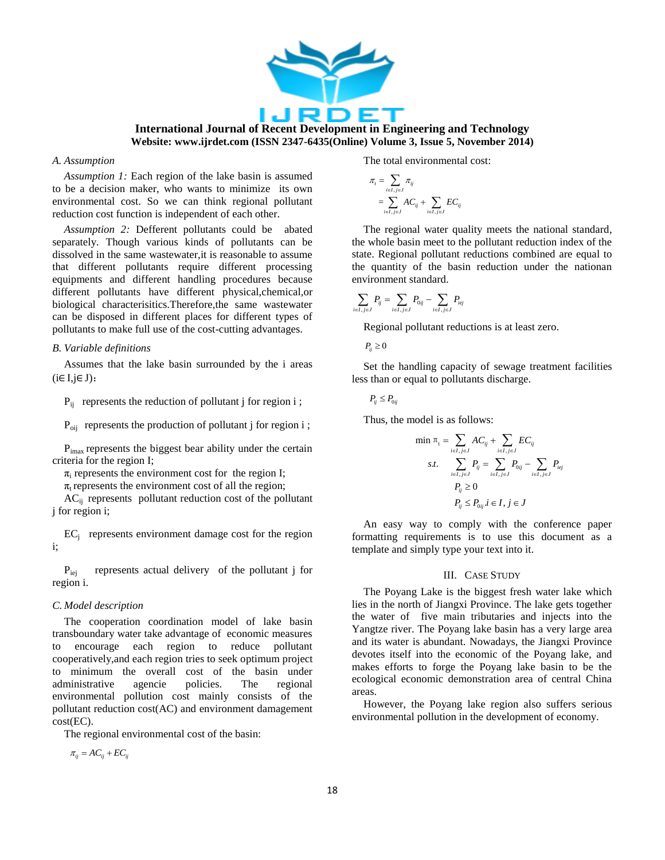

### *A. Assumption*

*Assumption 1:* Each region of the lake basin is assumed to be a decision maker, who wants to minimize its own environmental cost. So we can think regional pollutant reduction cost function is independent of each other.

*Assumption 2:* Defferent pollutants could be abated separately. Though various kinds of pollutants can be dissolved in the same wastewater,it is reasonable to assume that different pollutants require different processing equipments and different handling procedures because different pollutants have different physical,chemical,or biological characterisitics.Therefore,the same wastewater can be disposed in different places for different types of pollutants to make full use of the cost-cutting advantages.

#### *B. Variable definitions*

Assumes that the lake basin surrounded by the i areas  $(i \in I, j \in J)$ :

 $P_{ij}$  represents the reduction of pollutant j for region i ;

 $P_{\text{oii}}$  represents the production of pollutant j for region i ;

Pimax represents the biggest bear ability under the certain criteria for the region I;

 $\pi_i$  represents the environment cost for the region I;

 $\pi_t$  represents the environment cost of all the region;

 $AC_{ii}$  represents pollutant reduction cost of the pollutant j for region i;

 $EC<sub>i</sub>$  represents environment damage cost for the region i;

 $P_{\text{ini}}$  represents actual delivery of the pollutant j for region i.

#### *C. Model description*

The cooperation coordination model of lake basin transboundary water take advantage of economic measures to encourage each region to reduce pollutant cooperatively,and each region tries to seek optimum project to minimum the overall cost of the basin under administrative agencie policies. The regional environmental pollution cost mainly consists of the pollutant reduction cost(AC) and environment damagement cost(EC).

The regional environmental cost of the basin:

$$
\pi_{ij} = AC_{ij} + EC_{ij}
$$

The total environmental cost:

$$
\pi_{t} = \sum_{i \in I, j \in J} \pi_{ij}
$$
  
= 
$$
\sum_{i \in I, j \in J} AC_{ij} + \sum_{i \in I, j \in J} EC_{ij}
$$

The regional water quality meets the national standard, the whole basin meet to the pollutant reduction index of the state. Regional pollutant reductions combined are equal to the quantity of the basin reduction under the nationan environment standard.

$$
\sum_{i \in I, j \in J} P_{ij} = \sum_{i \in I, j \in J} P_{0ij} - \sum_{i \in I, j \in J} P_{iij}
$$

Regional pollutant reductions is at least zero.

 $P_{ii} \geq 0$ 

Set the handling capacity of sewage treatment facilities less than or equal to pollutants discharge.

$$
P_{ij} \leq P_{0ij}
$$

Thus, the model is as follows:  
\n
$$
\min \pi_{t} = \sum_{i \in I, j \in J} AC_{ij} + \sum_{i \in I, j \in J} EC_{ij}
$$
\n
$$
s.t. \sum_{i \in I, j \in J} P_{ij} = \sum_{i \in I, j \in J} P_{0ij} - \sum_{i \in I, j \in J} P_{icj}
$$
\n
$$
P_{ij} \ge 0
$$
\n
$$
P_{ij} \le P_{0ij} \ i \in I, j \in J
$$

An easy way to comply with the conference paper formatting requirements is to use this document as a template and simply type your text into it.

#### III. CASE STUDY

The Poyang Lake is the biggest fresh water lake which lies in the north of Jiangxi Province. The lake gets together the water of five main tributaries and injects into the Yangtze river. The Poyang lake basin has a very large area and its water is abundant. Nowadays, the Jiangxi Province devotes itself into the economic of the Poyang lake, and makes efforts to forge the Poyang lake basin to be the ecological economic demonstration area of central China areas.

However, the Poyang lake region also suffers serious environmental pollution in the development of economy.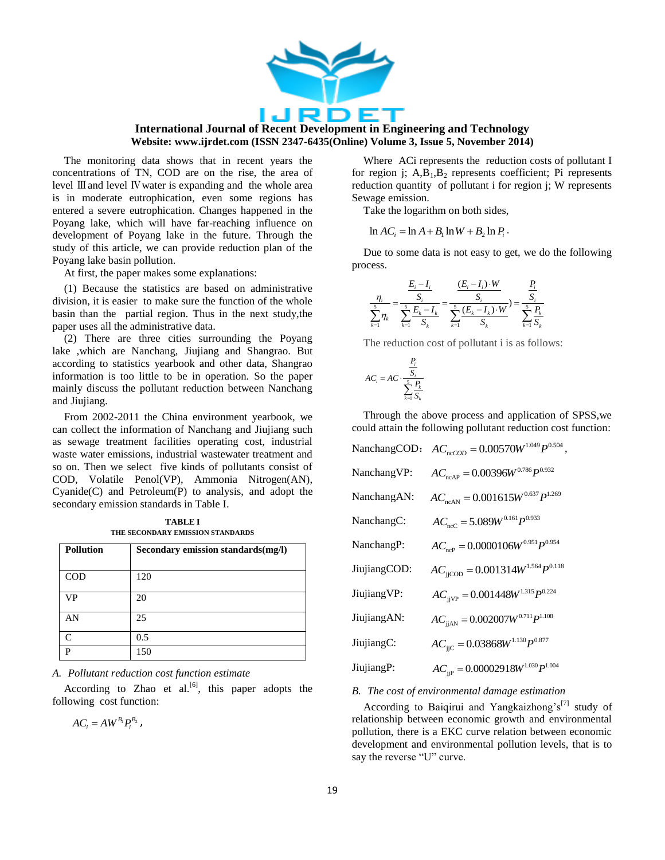

The monitoring data shows that in recent years the concentrations of TN, COD are on the rise, the area of level Ⅲand level Ⅳ water is expanding and the whole area is in moderate eutrophication, even some regions has entered a severe eutrophication. Changes happened in the Poyang lake, which will have far-reaching influence on development of Poyang lake in the future. Through the study of this article, we can provide reduction plan of the Poyang lake basin pollution.

At first, the paper makes some explanations:

(1) Because the statistics are based on administrative division, it is easier to make sure the function of the whole basin than the partial region. Thus in the next study,the paper uses all the administrative data.

(2) There are three cities surrounding the Poyang lake ,which are Nanchang, Jiujiang and Shangrao. But according to statistics yearbook and other data, Shangrao information is too little to be in operation. So the paper mainly discuss the pollutant reduction between Nanchang and Jiujiang.

From 2002-2011 the China environment yearbook, we can collect the information of Nanchang and Jiujiang such as sewage treatment facilities operating cost, industrial waste water emissions, industrial wastewater treatment and so on. Then we select five kinds of pollutants consist of COD, Volatile Penol(VP), Ammonia Nitrogen(AN), Cyanide(C) and Petroleum(P) to analysis, and adopt the secondary emission standards in Table I.

**TABLE I THE SECONDARY EMISSION STANDARDS**

| <b>Pollution</b>  | Secondary emission standards(mg/l) |
|-------------------|------------------------------------|
| <b>COD</b>        | 120                                |
| VP                | 20                                 |
| AN                | 25                                 |
| $\mathsf{\Gamma}$ | 0.5                                |
| D                 | 150                                |

*A. Pollutant reduction cost function estimate*

According to Zhao et al. $[6]$ , this paper adopts the following cost function:

 $AC_{i} = A W^{B_{1}} P_{i}^{B_{2}}$  ,

Where ACi represents the reduction costs of pollutant I for region j;  $A, B_1, B_2$  represents coefficient; Pi represents reduction quantity of pollutant i for region j; W represents Sewage emission.

Take the logarithm on both sides,

$$
\ln AC_i = \ln A + B_1 \ln W + B_2 \ln P_i
$$

Due to some data is not easy to get, we do the following process.

less.  
\n
$$
\frac{\eta_i}{\sum_{k=1}^5 \eta_k} = \frac{\frac{E_i - I_i}{S_i}}{\sum_{k=1}^5 \frac{E_k - I_k}{S_k}} = \frac{\frac{(E_i - I_i) \cdot W}{S_i}}{\sum_{k=1}^5 \frac{(E_k - I_k) \cdot W}{S_k}} = \frac{\frac{P_i}{S_i}}{\sum_{k=1}^5 \frac{P_k}{S_k}}
$$

The reduction cost of pollutant i is as follows:

$$
AC_i = AC \cdot \frac{\frac{P_i}{S_i}}{\sum_{k=1}^{5} \frac{P_k}{S_k}}
$$

Through the above process and application of SPSS,we could attain the following pollutant reduction cost function:

| NanchangCOD: | $AC_{\text{nc}COD} = 0.00570W^{1.049}P^{0.504},$ |
|--------------|--------------------------------------------------|
| NanchangVP:  | $AC_{\text{ncAP}} = 0.00396W^{0.786}P^{0.932}$   |
| NanchangAN:  | $AC_{\text{ncAN}} = 0.001615W^{0.637}P^{1.269}$  |
| NanchangC:   | $AC_{\text{ncC}} = 5.089W^{0.161}P^{0.933}$      |
| NanchangP:   | $AC_{\text{ncP}} = 0.0000106W^{0.951}P^{0.954}$  |
| JiujiangCOD: | $AC_{\text{jjCOD}} = 0.001314W^{1.564}P^{0.118}$ |
| JiujiangVP:  | $AC_{jiVP} = 0.001448W^{1.315}P^{0.224}$         |
| JiujiangAN:  | $AC_{\text{jiAN}} = 0.002007W^{0.711}P^{1.108}$  |
| JiujiangC:   | $AC_{\text{ijC}} = 0.03868W^{1.130}P^{0.877}$    |
| JiujiangP:   | $AC_{\text{iiP}} = 0.00002918W^{1.030}P^{1.004}$ |

#### *B. The cost of environmental damage estimation*

According to Baigirui and Yangkaizhong's<sup>[7]</sup> study of relationship between economic growth and environmental pollution, there is a EKC curve relation between economic development and environmental pollution levels, that is to say the reverse "U" curve.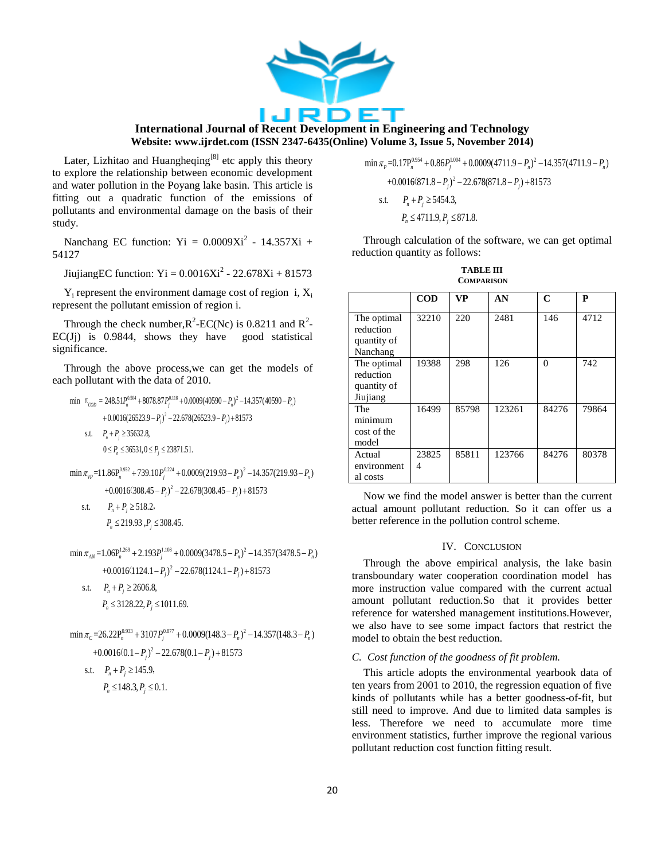

Later, Lizhitao and Huangheqing<sup>[8]</sup> etc apply this theory to explore the relationship between economic development and water pollution in the Poyang lake basin. This article is fitting out a quadratic function of the emissions of pollutants and environmental damage on the basis of their study.

Nanchang EC function:  $Yi = 0.0009Xi^2 - 14.357Xi +$ 54127

JiujiangEC function: Yi =  $0.0016Xi^2 - 22.678Xi + 81573$ 

 $Y_i$  represent the environment damage cost of region i,  $X_i$ represent the pollutant emission of region i.

Through the check number,  $R^2$ -EC(Nc) is 0.8211 and  $R^2$ - $EC(J<sub>i</sub>)$  is 0.9844, shows they have good statistical significance.

Through the above process,we can get the models of

each pollutant with the data of 2010.  
\nmin 
$$
\pi_{\text{cop}} = 248.51 P_n^{\text{0.504}} + 8078.87 P_j^{\text{0.118}} + 0.0009(40590 - P_n)^2 - 14.357(40590 - P_n)
$$
  
\n $+ 0.0016(26523.9 - P_j)^2 - 22.678(26523.9 - P_j) + 81573$   
\ns.t.  $P_n + P_j \ge 35632.8$ ,  
\n $0 \le P_n \le 36531.0 \le P_j \le 23871.51$ .  
\nmin  $\pi_{\text{VP}} = 11.86 P_n^{\text{0.932}} + 739.10 P_j^{\text{0.224}} + 0.0009(219.93 - P_n)^2 - 14.357(219.93 - P_n)$   
\n $+ 0.0016(308.45 - P_j)^2 - 22.678(308.45 - P_j) + 81573$ 

2  $6(30$ 

s.t.  $P_n + P_j \ge 518.2,$ <br> $P_n \le 219.93, P_j$ : s.t.  $P_n + P_j \ge 518.2$ ,<br> $P_n \le 219.93$ ,  $P_j \le 308.45$ .  $P_n + P_j$  $0.016(308.45 - P<sub>j</sub>)$ <br>+  $P<sub>j</sub> \ge 518.2$ , ,

$$
P_n \le 219.93 \, P_j \le 308.45.
$$
\n
$$
\min \pi_{AN} = 1.06 P_n^{1.269} + 2.193 P_j^{1.108} + 0.0009(3478.5 - P_n)^2 - 14.357(3478.5 - P_n) + 0.0016(1124.1 - P_j)^2 - 22.678(1124.1 - P_j) + 81573
$$
\ns.t.

\n
$$
P_n + P_j \ge 2606.8,
$$

s.t.  $P_n + P_j \ge 2606.8$ , s.t.  $P_n + P_j \ge 2606.8,$ <br> $P_n \le 3128.22, P_j \le 1011.69.$  $+0.0016$ <br> $P_n + P_j$ 

```
r_n \ge 3126.22, r_j \ge 1011.09.<br>
min \pi_c = 26.22 P_n^{0.933} + 3107 P_j^{0.877} + 0.0009(148.3 - P_n)^2 - 14.357(148.3 - P_n)0.016(0.1 - P_j)^2 - 22.678(0.1 - P_j)^2<br>
P_n + P_j \ge 145.9r_n \ge 3126.22, r_j \ge 1011.09.<br>
min \pi_c = 26.22 P_n^{0.933} + 3107 P_j^{0.877} + 0.0009(148.3 - P_n)^2 - 14.357(148.3 - P_n)^2<br>
+0.0016(0.1 – P_j)<sup>2</sup> – 22.678(0.1 – P_j) + 81573
                                               3107P_j^{0.877} + 0.0009(14)<br>P_j)<sup>2</sup> – 22.678(0.1 – P_j)
         P_n \le 3128.22, P_j \le 1011.69.<br>\pi_c = 26.22 P_n^{0.933} + 3107 P_j^{0.877} + 0.0009(148.3 - P_n)^2 - 14.357(148.3 - P_n)+ 3107P_j^{0.877} + 0.0009(148.3 – P_n^2)<sup>2</sup> – 1<br>- P_j^2)<sup>2</sup> – 22.678(0.1 – P_j^2) + 81573
                              6(0,
```
s.t. 
$$
P_n + P_j \ge 145.9
$$
,  
 $P_n \le 148.3, P_j \le 0.1$ .

**0.954 Volume 3, Issue 5, November 2014)**<br>min  $\pi_p = 0.17P_n^{0.954} + 0.86P_j^{1.004} + 0.0009(4711.9 - P_n)^2 - 14.357(4711.9 - P_n)$  $\frac{1}{2}$  *P*<sub>*i*</sub>  $\frac{1}{2}$  *P*<sub>*i*</sub>  $\frac{1}{2}$  – 22.678(871.8 – *P<sub>i</sub>*<br>*P<sub>n</sub>* + *P<sub>j</sub>* ≥ 5454.3, **Volume 3, Issue 5, November 2014)**<br>  $\min \pi_p = 0.17 P_n^{0.954} + 0.86 P_j^{1.004} + 0.0009(4711.9 - P_n)^2 - 14.357(4711.9 - P_n^2) + 0.0016(871.8 - P_j)^2 - 22.678(871.8 - P_j) + 81573$ s.t.  $P_{n} + P_{i} \ge 5454.3$ , s.t.  $P_n + P_j \ge 5454.3,$ <br> $P_n \le 4711.9, P_j \le 871.8.$  $P_n + P_j \ge 5454.3,$ <br>  $P_n \le 4711.9, P_j \le 871.8.$  $5P_j^{1.004}$  + 0.0009(4711.9 –<br> $P_j$ )<sup>2</sup> – 22.678(871.8 –  $P_j$ ) olume 3, Issue 5, November 2014)<br>  $\pi_p = 0.17P_n^{0.954} + 0.86P_j^{1.004} + 0.0009(4711.9 - P_n)^2 - 14.357(4711.9 - P_n)$  $86P_j^{1.004} + 0.0009(4711.9 - P_n)^2 - 14.357$ <br>-  $P_j$ )<sup>2</sup> - 22.678(871.8 -  $P_j$ ) + 81573  $6(87)$ 

Through calculation of the software, we can get optimal reduction quantity as follows:

**TABLE III COMPARISON**

|                                                     | $\bf{COD}$ | <b>VP</b> | AN     | C     | P     |
|-----------------------------------------------------|------------|-----------|--------|-------|-------|
| The optimal<br>reduction<br>quantity of<br>Nanchang | 32210      | 220       | 2481   | 146   | 4712  |
| The optimal<br>reduction<br>quantity of<br>Jiujiang | 19388      | 298       | 126    | 0     | 742   |
| The<br>minimum<br>cost of the<br>model              | 16499      | 85798     | 123261 | 84276 | 79864 |
| Actual<br>environment<br>al costs                   | 23825<br>4 | 85811     | 123766 | 84276 | 80378 |

Now we find the model answer is better than the current actual amount pollutant reduction. So it can offer us a better reference in the pollution control scheme.

### IV. CONCLUSION

Through the above empirical analysis, the lake basin transboundary water cooperation coordination model has more instruction value compared with the current actual amount pollutant reduction.So that it provides better reference for watershed management institutions.However, we also have to see some impact factors that restrict the model to obtain the best reduction.

## *C. Cost function of the goodness of fit problem.*

This article adopts the environmental yearbook data of ten years from 2001 to 2010, the regression equation of five kinds of pollutants while has a better goodness-of-fit, but still need to improve. And due to limited data samples is less. Therefore we need to accumulate more time environment statistics, further improve the regional various pollutant reduction cost function fitting result.